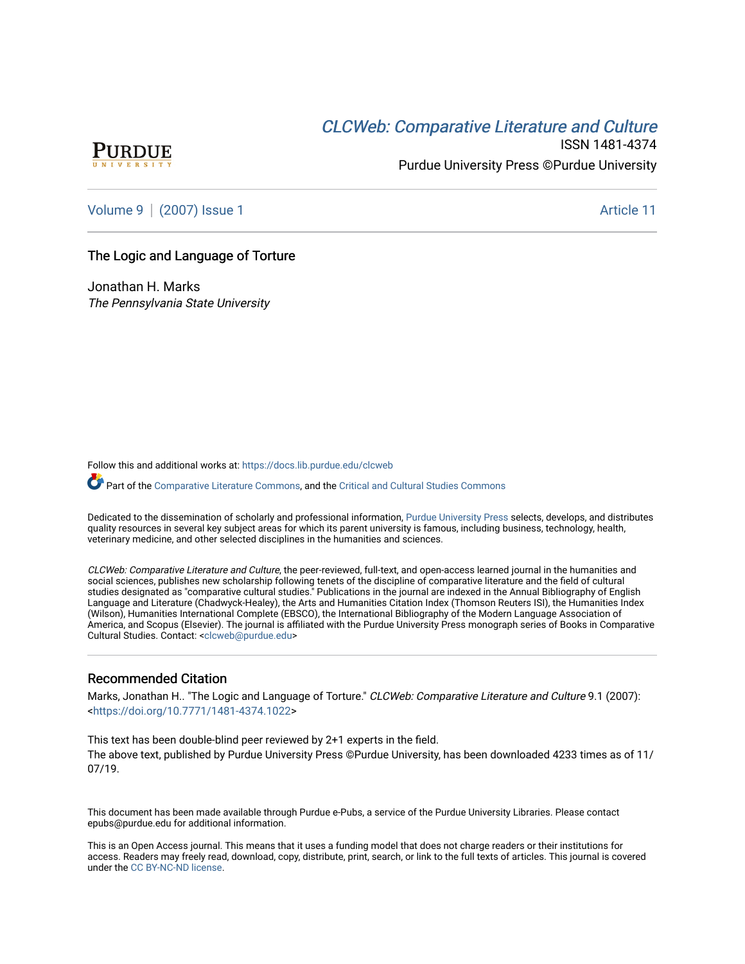# **CLCW[eb: Comparative Liter](https://docs.lib.purdue.edu/clcweb)ature and Culture**



ISSN 1481-4374 Purdue University Press ©Purdue University

[Volume 9](https://docs.lib.purdue.edu/clcweb/vol9) | [\(2007\) Issue 1](https://docs.lib.purdue.edu/clcweb/vol9/iss1) Article 11

## The Logic and Language of Torture

Jonathan H. Marks The Pennsylvania State University

Follow this and additional works at: [https://docs.lib.purdue.edu/clcweb](https://docs.lib.purdue.edu/clcweb?utm_source=docs.lib.purdue.edu%2Fclcweb%2Fvol9%2Fiss1%2F11&utm_medium=PDF&utm_campaign=PDFCoverPages)

Part of the [Comparative Literature Commons,](http://network.bepress.com/hgg/discipline/454?utm_source=docs.lib.purdue.edu%2Fclcweb%2Fvol9%2Fiss1%2F11&utm_medium=PDF&utm_campaign=PDFCoverPages) and the Critical and Cultural Studies Commons

Dedicated to the dissemination of scholarly and professional information, [Purdue University Press](http://www.thepress.purdue.edu/) selects, develops, and distributes quality resources in several key subject areas for which its parent university is famous, including business, technology, health, veterinary medicine, and other selected disciplines in the humanities and sciences.

CLCWeb: Comparative Literature and Culture, the peer-reviewed, full-text, and open-access learned journal in the humanities and social sciences, publishes new scholarship following tenets of the discipline of comparative literature and the field of cultural studies designated as "comparative cultural studies." Publications in the journal are indexed in the Annual Bibliography of English Language and Literature (Chadwyck-Healey), the Arts and Humanities Citation Index (Thomson Reuters ISI), the Humanities Index (Wilson), Humanities International Complete (EBSCO), the International Bibliography of the Modern Language Association of America, and Scopus (Elsevier). The journal is affiliated with the Purdue University Press monograph series of Books in Comparative Cultural Studies. Contact: [<clcweb@purdue.edu](mailto:clcweb@purdue.edu)>

## Recommended Citation

Marks, Jonathan H.. "The Logic and Language of Torture." CLCWeb: Comparative Literature and Culture 9.1 (2007): <<https://doi.org/10.7771/1481-4374.1022>>

This text has been double-blind peer reviewed by 2+1 experts in the field. The above text, published by Purdue University Press ©Purdue University, has been downloaded 4233 times as of 11/ 07/19.

This document has been made available through Purdue e-Pubs, a service of the Purdue University Libraries. Please contact epubs@purdue.edu for additional information.

This is an Open Access journal. This means that it uses a funding model that does not charge readers or their institutions for access. Readers may freely read, download, copy, distribute, print, search, or link to the full texts of articles. This journal is covered under the [CC BY-NC-ND license.](https://creativecommons.org/licenses/by-nc-nd/4.0/)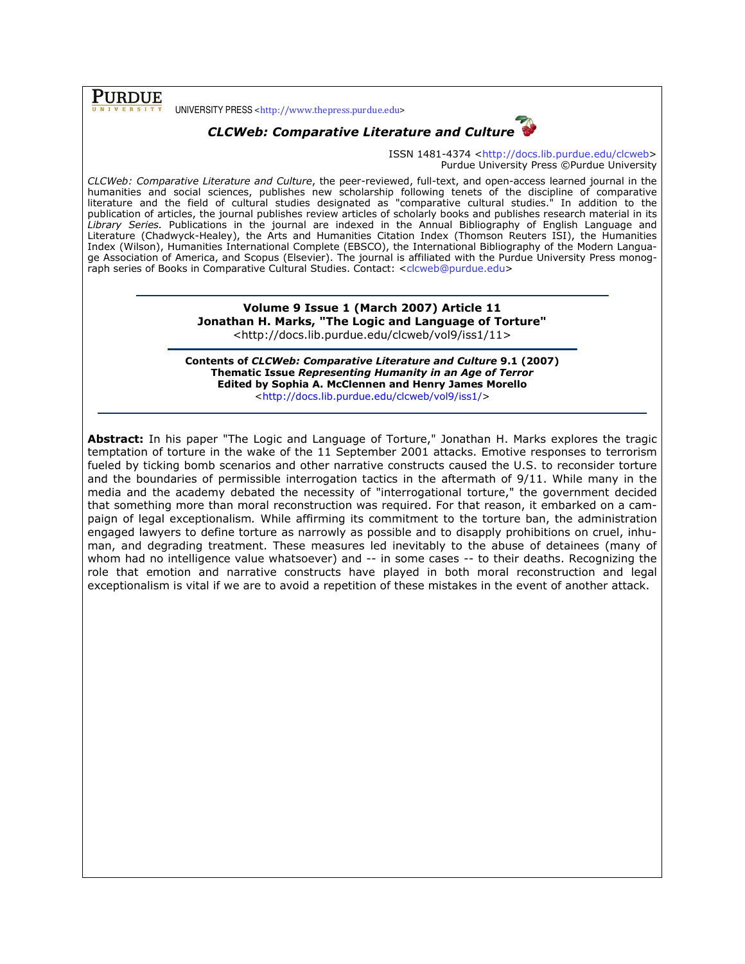**PURDUE** 

UNIVERSITY PRESS <http://www.thepress.purdue.edu>



ISSN 1481-4374 <http://docs.lib.purdue.edu/clcweb> Purdue University Press ©Purdue University

CLCWeb: Comparative Literature and Culture, the peer-reviewed, full-text, and open-access learned journal in the humanities and social sciences, publishes new scholarship following tenets of the discipline of comparative literature and the field of cultural studies designated as "comparative cultural studies." In addition to the publication of articles, the journal publishes review articles of scholarly books and publishes research material in its Library Series. Publications in the journal are indexed in the Annual Bibliography of English Language and Literature (Chadwyck-Healey), the Arts and Humanities Citation Index (Thomson Reuters ISI), the Humanities Index (Wilson), Humanities International Complete (EBSCO), the International Bibliography of the Modern Language Association of America, and Scopus (Elsevier). The journal is affiliated with the Purdue University Press monograph series of Books in Comparative Cultural Studies. Contact: <clcweb@purdue.edu>

#### Volume 9 Issue 1 (March 2007) Article 11 Jonathan H. Marks, "The Logic and Language of Torture" <http://docs.lib.purdue.edu/clcweb/vol9/iss1/11>

Contents of CLCWeb: Comparative Literature and Culture 9.1 (2007) Thematic Issue Representing Humanity in an Age of Terror Edited by Sophia A. McClennen and Henry James Morello <http://docs.lib.purdue.edu/clcweb/vol9/iss1/>

Abstract: In his paper "The Logic and Language of Torture," Jonathan H. Marks explores the tragic temptation of torture in the wake of the 11 September 2001 attacks. Emotive responses to terrorism fueled by ticking bomb scenarios and other narrative constructs caused the U.S. to reconsider torture and the boundaries of permissible interrogation tactics in the aftermath of 9/11. While many in the media and the academy debated the necessity of "interrogational torture," the government decided that something more than moral reconstruction was required. For that reason, it embarked on a campaign of legal exceptionalism. While affirming its commitment to the torture ban, the administration engaged lawyers to define torture as narrowly as possible and to disapply prohibitions on cruel, inhuman, and degrading treatment. These measures led inevitably to the abuse of detainees (many of whom had no intelligence value whatsoever) and -- in some cases -- to their deaths. Recognizing the role that emotion and narrative constructs have played in both moral reconstruction and legal exceptionalism is vital if we are to avoid a repetition of these mistakes in the event of another attack.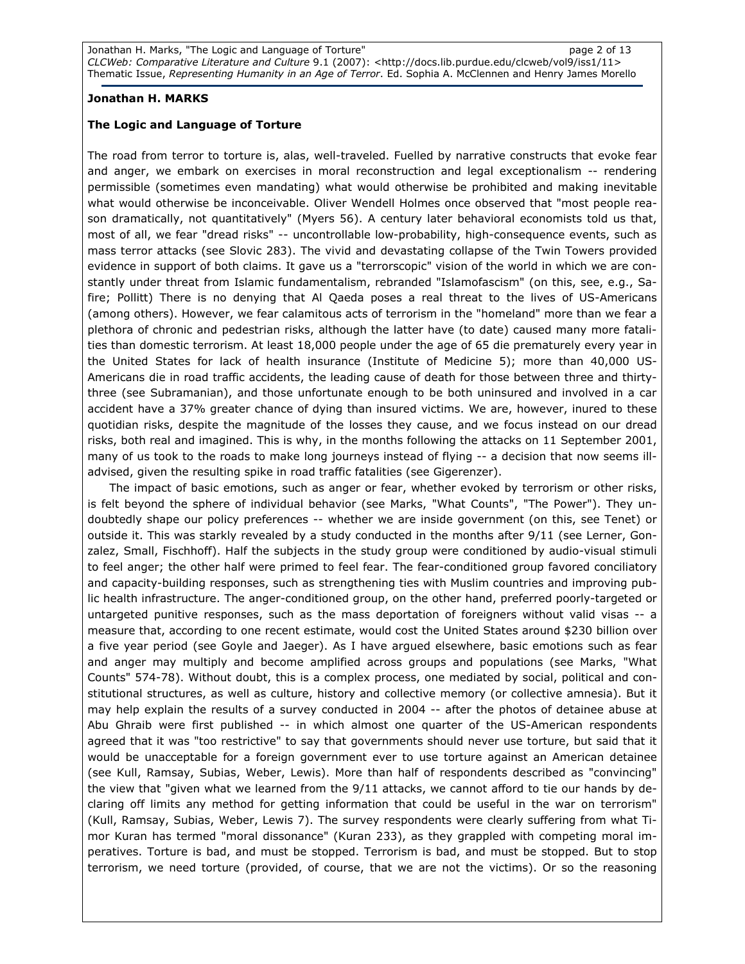### Jonathan H. MARKS

## The Logic and Language of Torture

The road from terror to torture is, alas, well-traveled. Fuelled by narrative constructs that evoke fear and anger, we embark on exercises in moral reconstruction and legal exceptionalism -- rendering permissible (sometimes even mandating) what would otherwise be prohibited and making inevitable what would otherwise be inconceivable. Oliver Wendell Holmes once observed that "most people reason dramatically, not quantitatively" (Myers 56). A century later behavioral economists told us that, most of all, we fear "dread risks" -- uncontrollable low-probability, high-consequence events, such as mass terror attacks (see Slovic 283). The vivid and devastating collapse of the Twin Towers provided evidence in support of both claims. It gave us a "terrorscopic" vision of the world in which we are constantly under threat from Islamic fundamentalism, rebranded "Islamofascism" (on this, see, e.g., Safire; Pollitt) There is no denying that Al Qaeda poses a real threat to the lives of US-Americans (among others). However, we fear calamitous acts of terrorism in the "homeland" more than we fear a plethora of chronic and pedestrian risks, although the latter have (to date) caused many more fatalities than domestic terrorism. At least 18,000 people under the age of 65 die prematurely every year in the United States for lack of health insurance (Institute of Medicine 5); more than 40,000 US-Americans die in road traffic accidents, the leading cause of death for those between three and thirtythree (see Subramanian), and those unfortunate enough to be both uninsured and involved in a car accident have a 37% greater chance of dying than insured victims. We are, however, inured to these quotidian risks, despite the magnitude of the losses they cause, and we focus instead on our dread risks, both real and imagined. This is why, in the months following the attacks on 11 September 2001, many of us took to the roads to make long journeys instead of flying -- a decision that now seems illadvised, given the resulting spike in road traffic fatalities (see Gigerenzer).

 The impact of basic emotions, such as anger or fear, whether evoked by terrorism or other risks, is felt beyond the sphere of individual behavior (see Marks, "What Counts", "The Power"). They undoubtedly shape our policy preferences -- whether we are inside government (on this, see Tenet) or outside it. This was starkly revealed by a study conducted in the months after 9/11 (see Lerner, Gonzalez, Small, Fischhoff). Half the subjects in the study group were conditioned by audio-visual stimuli to feel anger; the other half were primed to feel fear. The fear-conditioned group favored conciliatory and capacity-building responses, such as strengthening ties with Muslim countries and improving public health infrastructure. The anger-conditioned group, on the other hand, preferred poorly-targeted or untargeted punitive responses, such as the mass deportation of foreigners without valid visas -- a measure that, according to one recent estimate, would cost the United States around \$230 billion over a five year period (see Goyle and Jaeger). As I have argued elsewhere, basic emotions such as fear and anger may multiply and become amplified across groups and populations (see Marks, "What Counts" 574-78). Without doubt, this is a complex process, one mediated by social, political and constitutional structures, as well as culture, history and collective memory (or collective amnesia). But it may help explain the results of a survey conducted in 2004 -- after the photos of detainee abuse at Abu Ghraib were first published -- in which almost one quarter of the US-American respondents agreed that it was "too restrictive" to say that governments should never use torture, but said that it would be unacceptable for a foreign government ever to use torture against an American detainee (see Kull, Ramsay, Subias, Weber, Lewis). More than half of respondents described as "convincing" the view that "given what we learned from the 9/11 attacks, we cannot afford to tie our hands by declaring off limits any method for getting information that could be useful in the war on terrorism" (Kull, Ramsay, Subias, Weber, Lewis 7). The survey respondents were clearly suffering from what Timor Kuran has termed "moral dissonance" (Kuran 233), as they grappled with competing moral imperatives. Torture is bad, and must be stopped. Terrorism is bad, and must be stopped. But to stop terrorism, we need torture (provided, of course, that we are not the victims). Or so the reasoning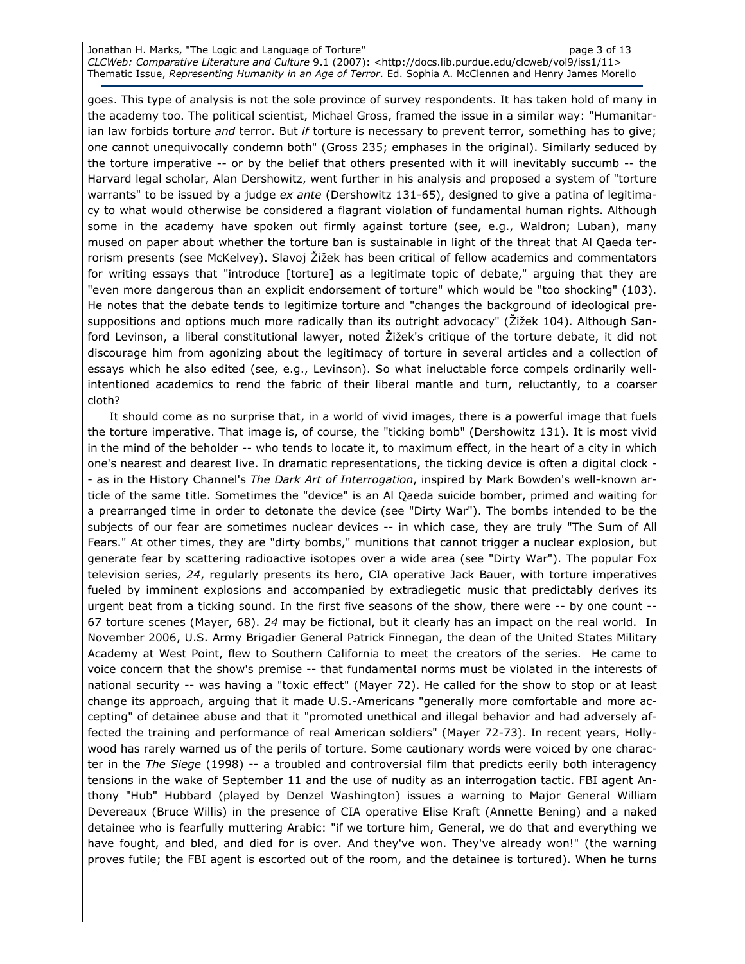Jonathan H. Marks, "The Logic and Language of Torture" example 2 of 13 CLCWeb: Comparative Literature and Culture 9.1 (2007): <http://docs.lib.purdue.edu/clcweb/vol9/iss1/11> Thematic Issue, Representing Humanity in an Age of Terror. Ed. Sophia A. McClennen and Henry James Morello

goes. This type of analysis is not the sole province of survey respondents. It has taken hold of many in the academy too. The political scientist, Michael Gross, framed the issue in a similar way: "Humanitarian law forbids torture and terror. But if torture is necessary to prevent terror, something has to give; one cannot unequivocally condemn both" (Gross 235; emphases in the original). Similarly seduced by the torture imperative -- or by the belief that others presented with it will inevitably succumb -- the Harvard legal scholar, Alan Dershowitz, went further in his analysis and proposed a system of "torture warrants" to be issued by a judge ex ante (Dershowitz 131-65), designed to give a patina of legitimacy to what would otherwise be considered a flagrant violation of fundamental human rights. Although some in the academy have spoken out firmly against torture (see, e.g., Waldron; Luban), many mused on paper about whether the torture ban is sustainable in light of the threat that Al Qaeda terrorism presents (see McKelvey). Slavoj Žižek has been critical of fellow academics and commentators for writing essays that "introduce [torture] as a legitimate topic of debate," arguing that they are "even more dangerous than an explicit endorsement of torture" which would be "too shocking" (103). He notes that the debate tends to legitimize torture and "changes the background of ideological presuppositions and options much more radically than its outright advocacy" (Žižek 104). Although Sanford Levinson, a liberal constitutional lawyer, noted Žižek's critique of the torture debate, it did not discourage him from agonizing about the legitimacy of torture in several articles and a collection of essays which he also edited (see, e.g., Levinson). So what ineluctable force compels ordinarily wellintentioned academics to rend the fabric of their liberal mantle and turn, reluctantly, to a coarser cloth?

It should come as no surprise that, in a world of vivid images, there is a powerful image that fuels the torture imperative. That image is, of course, the "ticking bomb" (Dershowitz 131). It is most vivid in the mind of the beholder -- who tends to locate it, to maximum effect, in the heart of a city in which one's nearest and dearest live. In dramatic representations, the ticking device is often a digital clock - - as in the History Channel's The Dark Art of Interrogation, inspired by Mark Bowden's well-known article of the same title. Sometimes the "device" is an Al Qaeda suicide bomber, primed and waiting for a prearranged time in order to detonate the device (see "Dirty War"). The bombs intended to be the subjects of our fear are sometimes nuclear devices -- in which case, they are truly "The Sum of All Fears." At other times, they are "dirty bombs," munitions that cannot trigger a nuclear explosion, but generate fear by scattering radioactive isotopes over a wide area (see "Dirty War"). The popular Fox television series, 24, regularly presents its hero, CIA operative Jack Bauer, with torture imperatives fueled by imminent explosions and accompanied by extradiegetic music that predictably derives its urgent beat from a ticking sound. In the first five seasons of the show, there were -- by one count -- 67 torture scenes (Mayer, 68). 24 may be fictional, but it clearly has an impact on the real world. In November 2006, U.S. Army Brigadier General Patrick Finnegan, the dean of the United States Military Academy at West Point, flew to Southern California to meet the creators of the series. He came to voice concern that the show's premise -- that fundamental norms must be violated in the interests of national security -- was having a "toxic effect" (Mayer 72). He called for the show to stop or at least change its approach, arguing that it made U.S.-Americans "generally more comfortable and more accepting" of detainee abuse and that it "promoted unethical and illegal behavior and had adversely affected the training and performance of real American soldiers" (Mayer 72-73). In recent years, Hollywood has rarely warned us of the perils of torture. Some cautionary words were voiced by one character in the The Siege (1998) -- a troubled and controversial film that predicts eerily both interagency tensions in the wake of September 11 and the use of nudity as an interrogation tactic. FBI agent Anthony "Hub" Hubbard (played by Denzel Washington) issues a warning to Major General William Devereaux (Bruce Willis) in the presence of CIA operative Elise Kraft (Annette Bening) and a naked detainee who is fearfully muttering Arabic: "if we torture him, General, we do that and everything we have fought, and bled, and died for is over. And they've won. They've already won!" (the warning proves futile; the FBI agent is escorted out of the room, and the detainee is tortured). When he turns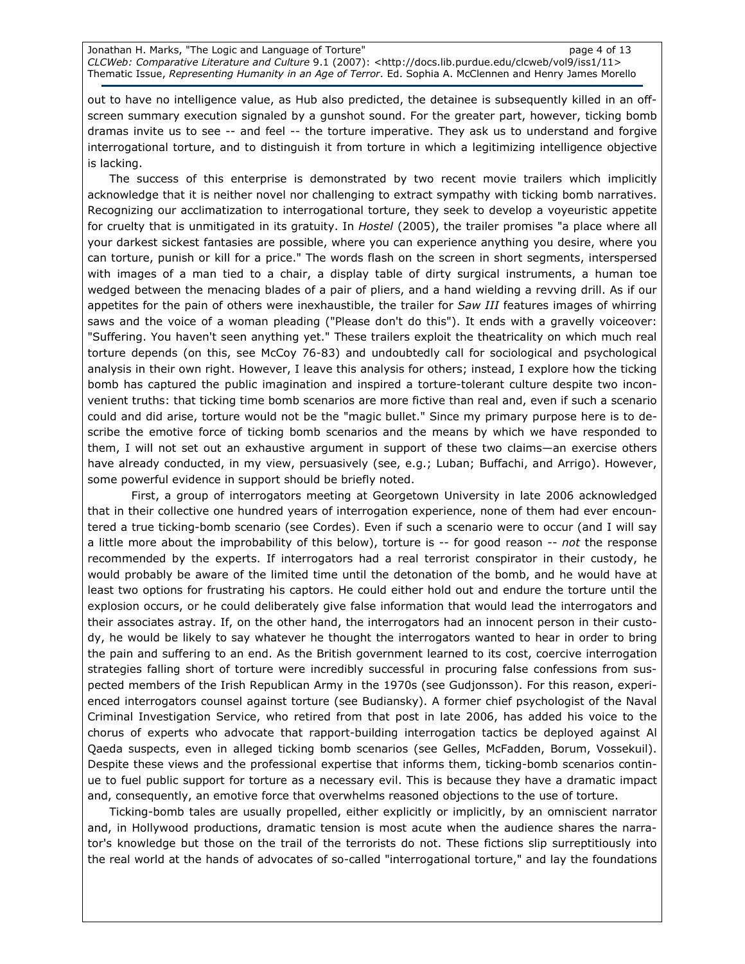out to have no intelligence value, as Hub also predicted, the detainee is subsequently killed in an offscreen summary execution signaled by a gunshot sound. For the greater part, however, ticking bomb dramas invite us to see -- and feel -- the torture imperative. They ask us to understand and forgive interrogational torture, and to distinguish it from torture in which a legitimizing intelligence objective is lacking.

 The success of this enterprise is demonstrated by two recent movie trailers which implicitly acknowledge that it is neither novel nor challenging to extract sympathy with ticking bomb narratives. Recognizing our acclimatization to interrogational torture, they seek to develop a voyeuristic appetite for cruelty that is unmitigated in its gratuity. In Hostel (2005), the trailer promises "a place where all your darkest sickest fantasies are possible, where you can experience anything you desire, where you can torture, punish or kill for a price." The words flash on the screen in short segments, interspersed with images of a man tied to a chair, a display table of dirty surgical instruments, a human toe wedged between the menacing blades of a pair of pliers, and a hand wielding a revving drill. As if our appetites for the pain of others were inexhaustible, the trailer for Saw III features images of whirring saws and the voice of a woman pleading ("Please don't do this"). It ends with a gravelly voiceover: "Suffering. You haven't seen anything yet." These trailers exploit the theatricality on which much real torture depends (on this, see McCoy 76-83) and undoubtedly call for sociological and psychological analysis in their own right. However, I leave this analysis for others; instead, I explore how the ticking bomb has captured the public imagination and inspired a torture-tolerant culture despite two inconvenient truths: that ticking time bomb scenarios are more fictive than real and, even if such a scenario could and did arise, torture would not be the "magic bullet." Since my primary purpose here is to describe the emotive force of ticking bomb scenarios and the means by which we have responded to them, I will not set out an exhaustive argument in support of these two claims—an exercise others have already conducted, in my view, persuasively (see, e.g.; Luban; Buffachi, and Arrigo). However, some powerful evidence in support should be briefly noted.

First, a group of interrogators meeting at Georgetown University in late 2006 acknowledged that in their collective one hundred years of interrogation experience, none of them had ever encountered a true ticking-bomb scenario (see Cordes). Even if such a scenario were to occur (and I will say a little more about the improbability of this below), torture is -- for good reason -- not the response recommended by the experts. If interrogators had a real terrorist conspirator in their custody, he would probably be aware of the limited time until the detonation of the bomb, and he would have at least two options for frustrating his captors. He could either hold out and endure the torture until the explosion occurs, or he could deliberately give false information that would lead the interrogators and their associates astray. If, on the other hand, the interrogators had an innocent person in their custody, he would be likely to say whatever he thought the interrogators wanted to hear in order to bring the pain and suffering to an end. As the British government learned to its cost, coercive interrogation strategies falling short of torture were incredibly successful in procuring false confessions from suspected members of the Irish Republican Army in the 1970s (see Gudjonsson). For this reason, experienced interrogators counsel against torture (see Budiansky). A former chief psychologist of the Naval Criminal Investigation Service, who retired from that post in late 2006, has added his voice to the chorus of experts who advocate that rapport-building interrogation tactics be deployed against Al Qaeda suspects, even in alleged ticking bomb scenarios (see Gelles, McFadden, Borum, Vossekuil). Despite these views and the professional expertise that informs them, ticking-bomb scenarios continue to fuel public support for torture as a necessary evil. This is because they have a dramatic impact and, consequently, an emotive force that overwhelms reasoned objections to the use of torture.

 Ticking-bomb tales are usually propelled, either explicitly or implicitly, by an omniscient narrator and, in Hollywood productions, dramatic tension is most acute when the audience shares the narrator's knowledge but those on the trail of the terrorists do not. These fictions slip surreptitiously into the real world at the hands of advocates of so-called "interrogational torture," and lay the foundations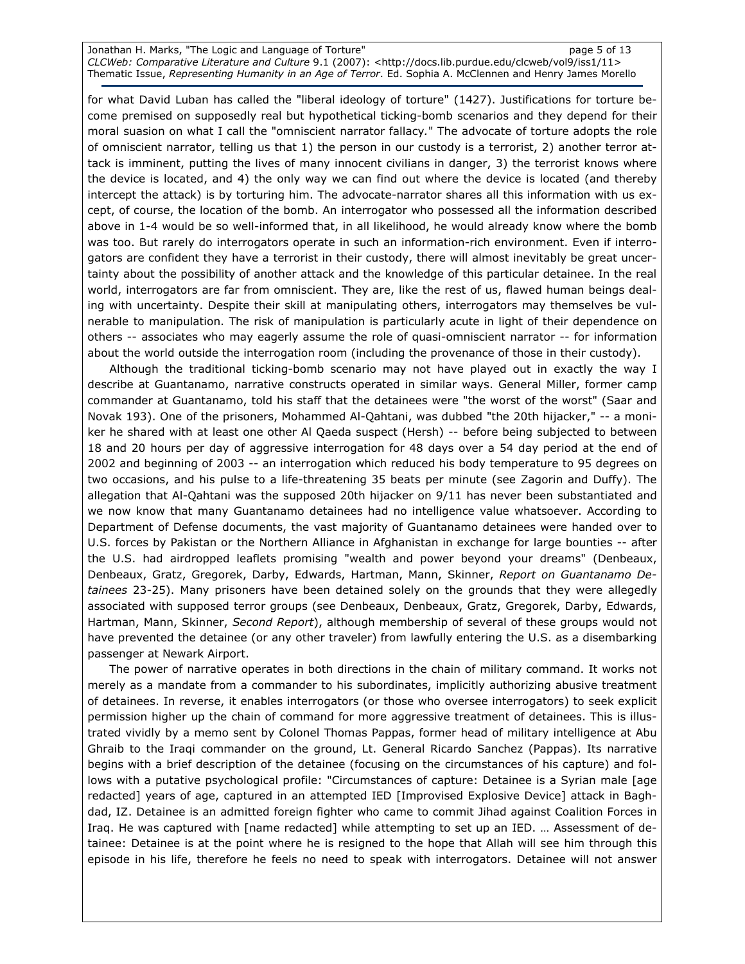Jonathan H. Marks, "The Logic and Language of Torture" example that the same page 5 of 13 CLCWeb: Comparative Literature and Culture 9.1 (2007): <http://docs.lib.purdue.edu/clcweb/vol9/iss1/11> Thematic Issue, Representing Humanity in an Age of Terror. Ed. Sophia A. McClennen and Henry James Morello

for what David Luban has called the "liberal ideology of torture" (1427). Justifications for torture become premised on supposedly real but hypothetical ticking-bomb scenarios and they depend for their moral suasion on what I call the "omniscient narrator fallacy." The advocate of torture adopts the role of omniscient narrator, telling us that 1) the person in our custody is a terrorist, 2) another terror attack is imminent, putting the lives of many innocent civilians in danger, 3) the terrorist knows where the device is located, and 4) the only way we can find out where the device is located (and thereby intercept the attack) is by torturing him. The advocate-narrator shares all this information with us except, of course, the location of the bomb. An interrogator who possessed all the information described above in 1-4 would be so well-informed that, in all likelihood, he would already know where the bomb was too. But rarely do interrogators operate in such an information-rich environment. Even if interrogators are confident they have a terrorist in their custody, there will almost inevitably be great uncertainty about the possibility of another attack and the knowledge of this particular detainee. In the real world, interrogators are far from omniscient. They are, like the rest of us, flawed human beings dealing with uncertainty. Despite their skill at manipulating others, interrogators may themselves be vulnerable to manipulation. The risk of manipulation is particularly acute in light of their dependence on others -- associates who may eagerly assume the role of quasi-omniscient narrator -- for information about the world outside the interrogation room (including the provenance of those in their custody).

 Although the traditional ticking-bomb scenario may not have played out in exactly the way I describe at Guantanamo, narrative constructs operated in similar ways. General Miller, former camp commander at Guantanamo, told his staff that the detainees were "the worst of the worst" (Saar and Novak 193). One of the prisoners, Mohammed Al-Qahtani, was dubbed "the 20th hijacker," -- a moniker he shared with at least one other Al Qaeda suspect (Hersh) -- before being subjected to between 18 and 20 hours per day of aggressive interrogation for 48 days over a 54 day period at the end of 2002 and beginning of 2003 -- an interrogation which reduced his body temperature to 95 degrees on two occasions, and his pulse to a life-threatening 35 beats per minute (see Zagorin and Duffy). The allegation that Al-Qahtani was the supposed 20th hijacker on 9/11 has never been substantiated and we now know that many Guantanamo detainees had no intelligence value whatsoever. According to Department of Defense documents, the vast majority of Guantanamo detainees were handed over to U.S. forces by Pakistan or the Northern Alliance in Afghanistan in exchange for large bounties -- after the U.S. had airdropped leaflets promising "wealth and power beyond your dreams" (Denbeaux, Denbeaux, Gratz, Gregorek, Darby, Edwards, Hartman, Mann, Skinner, Report on Guantanamo Detainees 23-25). Many prisoners have been detained solely on the grounds that they were allegedly associated with supposed terror groups (see Denbeaux, Denbeaux, Gratz, Gregorek, Darby, Edwards, Hartman, Mann, Skinner, Second Report), although membership of several of these groups would not have prevented the detainee (or any other traveler) from lawfully entering the U.S. as a disembarking passenger at Newark Airport.

 The power of narrative operates in both directions in the chain of military command. It works not merely as a mandate from a commander to his subordinates, implicitly authorizing abusive treatment of detainees. In reverse, it enables interrogators (or those who oversee interrogators) to seek explicit permission higher up the chain of command for more aggressive treatment of detainees. This is illustrated vividly by a memo sent by Colonel Thomas Pappas, former head of military intelligence at Abu Ghraib to the Iraqi commander on the ground, Lt. General Ricardo Sanchez (Pappas). Its narrative begins with a brief description of the detainee (focusing on the circumstances of his capture) and follows with a putative psychological profile: "Circumstances of capture: Detainee is a Syrian male [age redacted] years of age, captured in an attempted IED [Improvised Explosive Device] attack in Baghdad, IZ. Detainee is an admitted foreign fighter who came to commit Jihad against Coalition Forces in Iraq. He was captured with [name redacted] while attempting to set up an IED. … Assessment of detainee: Detainee is at the point where he is resigned to the hope that Allah will see him through this episode in his life, therefore he feels no need to speak with interrogators. Detainee will not answer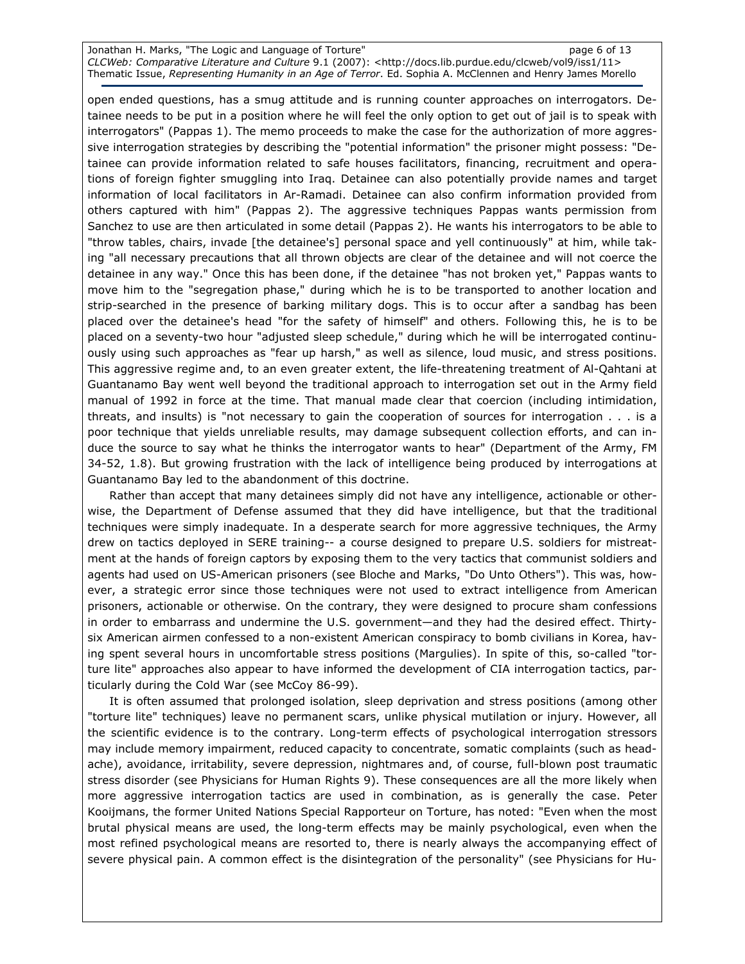Jonathan H. Marks, "The Logic and Language of Torture" example that the same page 6 of 13 CLCWeb: Comparative Literature and Culture 9.1 (2007): <http://docs.lib.purdue.edu/clcweb/vol9/iss1/11> Thematic Issue, Representing Humanity in an Age of Terror. Ed. Sophia A. McClennen and Henry James Morello

open ended questions, has a smug attitude and is running counter approaches on interrogators. Detainee needs to be put in a position where he will feel the only option to get out of jail is to speak with interrogators" (Pappas 1). The memo proceeds to make the case for the authorization of more aggressive interrogation strategies by describing the "potential information" the prisoner might possess: "Detainee can provide information related to safe houses facilitators, financing, recruitment and operations of foreign fighter smuggling into Iraq. Detainee can also potentially provide names and target information of local facilitators in Ar-Ramadi. Detainee can also confirm information provided from others captured with him" (Pappas 2). The aggressive techniques Pappas wants permission from Sanchez to use are then articulated in some detail (Pappas 2). He wants his interrogators to be able to "throw tables, chairs, invade [the detainee's] personal space and yell continuously" at him, while taking "all necessary precautions that all thrown objects are clear of the detainee and will not coerce the detainee in any way." Once this has been done, if the detainee "has not broken yet," Pappas wants to move him to the "segregation phase," during which he is to be transported to another location and strip-searched in the presence of barking military dogs. This is to occur after a sandbag has been placed over the detainee's head "for the safety of himself" and others. Following this, he is to be placed on a seventy-two hour "adjusted sleep schedule," during which he will be interrogated continuously using such approaches as "fear up harsh," as well as silence, loud music, and stress positions. This aggressive regime and, to an even greater extent, the life-threatening treatment of Al-Qahtani at Guantanamo Bay went well beyond the traditional approach to interrogation set out in the Army field manual of 1992 in force at the time. That manual made clear that coercion (including intimidation, threats, and insults) is "not necessary to gain the cooperation of sources for interrogation . . . is a poor technique that yields unreliable results, may damage subsequent collection efforts, and can induce the source to say what he thinks the interrogator wants to hear" (Department of the Army, FM 34-52, 1.8). But growing frustration with the lack of intelligence being produced by interrogations at Guantanamo Bay led to the abandonment of this doctrine.

 Rather than accept that many detainees simply did not have any intelligence, actionable or otherwise, the Department of Defense assumed that they did have intelligence, but that the traditional techniques were simply inadequate. In a desperate search for more aggressive techniques, the Army drew on tactics deployed in SERE training-- a course designed to prepare U.S. soldiers for mistreatment at the hands of foreign captors by exposing them to the very tactics that communist soldiers and agents had used on US-American prisoners (see Bloche and Marks, "Do Unto Others"). This was, however, a strategic error since those techniques were not used to extract intelligence from American prisoners, actionable or otherwise. On the contrary, they were designed to procure sham confessions in order to embarrass and undermine the U.S. government—and they had the desired effect. Thirtysix American airmen confessed to a non-existent American conspiracy to bomb civilians in Korea, having spent several hours in uncomfortable stress positions (Margulies). In spite of this, so-called "torture lite" approaches also appear to have informed the development of CIA interrogation tactics, particularly during the Cold War (see McCoy 86-99).

 It is often assumed that prolonged isolation, sleep deprivation and stress positions (among other "torture lite" techniques) leave no permanent scars, unlike physical mutilation or injury. However, all the scientific evidence is to the contrary. Long-term effects of psychological interrogation stressors may include memory impairment, reduced capacity to concentrate, somatic complaints (such as headache), avoidance, irritability, severe depression, nightmares and, of course, full-blown post traumatic stress disorder (see Physicians for Human Rights 9). These consequences are all the more likely when more aggressive interrogation tactics are used in combination, as is generally the case. Peter Kooijmans, the former United Nations Special Rapporteur on Torture, has noted: "Even when the most brutal physical means are used, the long-term effects may be mainly psychological, even when the most refined psychological means are resorted to, there is nearly always the accompanying effect of severe physical pain. A common effect is the disintegration of the personality" (see Physicians for Hu-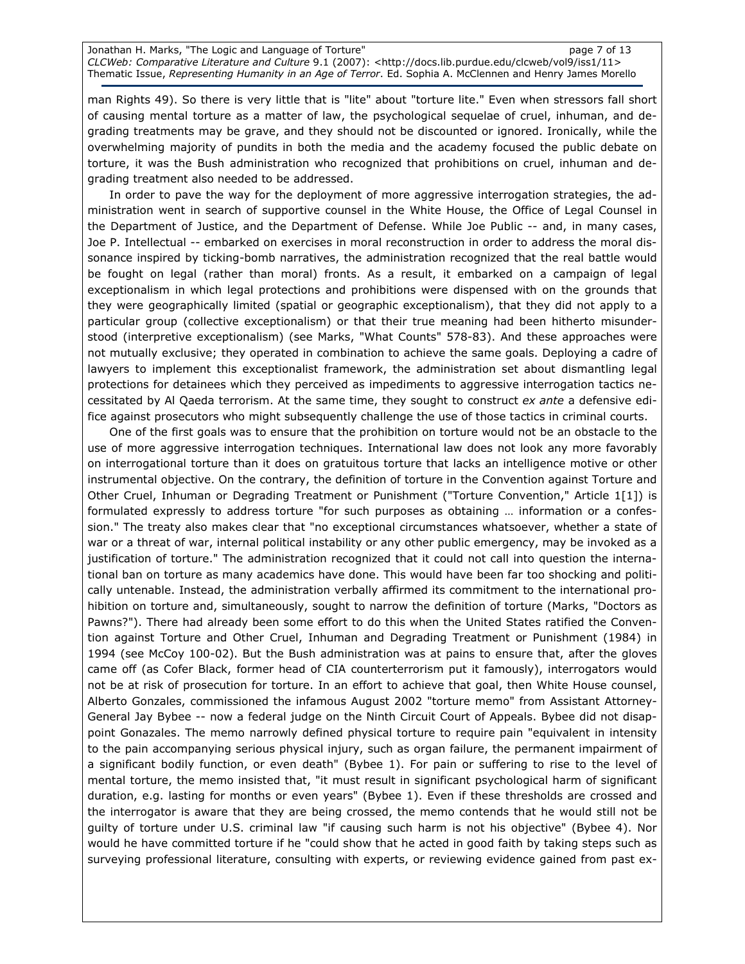Jonathan H. Marks, "The Logic and Language of Torture" example 2 and the state of 13 CLCWeb: Comparative Literature and Culture 9.1 (2007): <http://docs.lib.purdue.edu/clcweb/vol9/iss1/11> Thematic Issue, Representing Humanity in an Age of Terror. Ed. Sophia A. McClennen and Henry James Morello

man Rights 49). So there is very little that is "lite" about "torture lite." Even when stressors fall short of causing mental torture as a matter of law, the psychological sequelae of cruel, inhuman, and degrading treatments may be grave, and they should not be discounted or ignored. Ironically, while the overwhelming majority of pundits in both the media and the academy focused the public debate on torture, it was the Bush administration who recognized that prohibitions on cruel, inhuman and degrading treatment also needed to be addressed.

In order to pave the way for the deployment of more aggressive interrogation strategies, the administration went in search of supportive counsel in the White House, the Office of Legal Counsel in the Department of Justice, and the Department of Defense. While Joe Public -- and, in many cases, Joe P. Intellectual -- embarked on exercises in moral reconstruction in order to address the moral dissonance inspired by ticking-bomb narratives, the administration recognized that the real battle would be fought on legal (rather than moral) fronts. As a result, it embarked on a campaign of legal exceptionalism in which legal protections and prohibitions were dispensed with on the grounds that they were geographically limited (spatial or geographic exceptionalism), that they did not apply to a particular group (collective exceptionalism) or that their true meaning had been hitherto misunderstood (interpretive exceptionalism) (see Marks, "What Counts" 578-83). And these approaches were not mutually exclusive; they operated in combination to achieve the same goals. Deploying a cadre of lawyers to implement this exceptionalist framework, the administration set about dismantling legal protections for detainees which they perceived as impediments to aggressive interrogation tactics necessitated by Al Qaeda terrorism. At the same time, they sought to construct ex ante a defensive edifice against prosecutors who might subsequently challenge the use of those tactics in criminal courts.

One of the first goals was to ensure that the prohibition on torture would not be an obstacle to the use of more aggressive interrogation techniques. International law does not look any more favorably on interrogational torture than it does on gratuitous torture that lacks an intelligence motive or other instrumental objective. On the contrary, the definition of torture in the Convention against Torture and Other Cruel, Inhuman or Degrading Treatment or Punishment ("Torture Convention," Article 1[1]) is formulated expressly to address torture "for such purposes as obtaining … information or a confession." The treaty also makes clear that "no exceptional circumstances whatsoever, whether a state of war or a threat of war, internal political instability or any other public emergency, may be invoked as a justification of torture." The administration recognized that it could not call into question the international ban on torture as many academics have done. This would have been far too shocking and politically untenable. Instead, the administration verbally affirmed its commitment to the international prohibition on torture and, simultaneously, sought to narrow the definition of torture (Marks, "Doctors as Pawns?"). There had already been some effort to do this when the United States ratified the Convention against Torture and Other Cruel, Inhuman and Degrading Treatment or Punishment (1984) in 1994 (see McCoy 100-02). But the Bush administration was at pains to ensure that, after the gloves came off (as Cofer Black, former head of CIA counterterrorism put it famously), interrogators would not be at risk of prosecution for torture. In an effort to achieve that goal, then White House counsel, Alberto Gonzales, commissioned the infamous August 2002 "torture memo" from Assistant Attorney-General Jay Bybee -- now a federal judge on the Ninth Circuit Court of Appeals. Bybee did not disappoint Gonazales. The memo narrowly defined physical torture to require pain "equivalent in intensity to the pain accompanying serious physical injury, such as organ failure, the permanent impairment of a significant bodily function, or even death" (Bybee 1). For pain or suffering to rise to the level of mental torture, the memo insisted that, "it must result in significant psychological harm of significant duration, e.g. lasting for months or even years" (Bybee 1). Even if these thresholds are crossed and the interrogator is aware that they are being crossed, the memo contends that he would still not be guilty of torture under U.S. criminal law "if causing such harm is not his objective" (Bybee 4). Nor would he have committed torture if he "could show that he acted in good faith by taking steps such as surveying professional literature, consulting with experts, or reviewing evidence gained from past ex-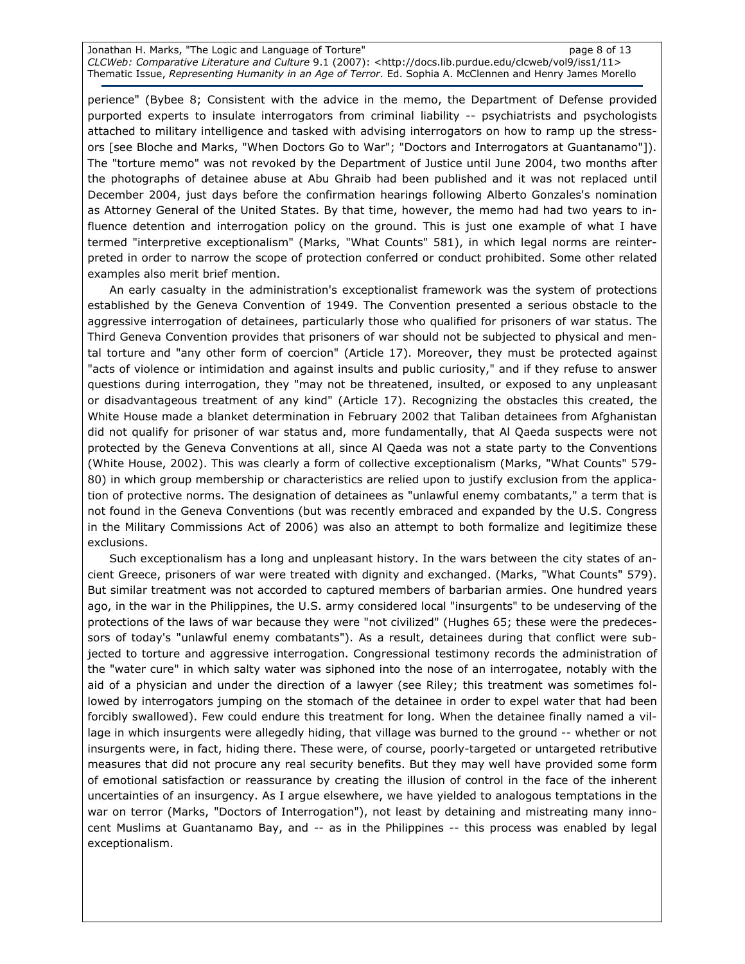Jonathan H. Marks, "The Logic and Language of Torture" example that the same page 8 of 13 CLCWeb: Comparative Literature and Culture 9.1 (2007): <http://docs.lib.purdue.edu/clcweb/vol9/iss1/11> Thematic Issue, Representing Humanity in an Age of Terror. Ed. Sophia A. McClennen and Henry James Morello

perience" (Bybee 8; Consistent with the advice in the memo, the Department of Defense provided purported experts to insulate interrogators from criminal liability -- psychiatrists and psychologists attached to military intelligence and tasked with advising interrogators on how to ramp up the stressors [see Bloche and Marks, "When Doctors Go to War"; "Doctors and Interrogators at Guantanamo"]). The "torture memo" was not revoked by the Department of Justice until June 2004, two months after the photographs of detainee abuse at Abu Ghraib had been published and it was not replaced until December 2004, just days before the confirmation hearings following Alberto Gonzales's nomination as Attorney General of the United States. By that time, however, the memo had had two years to influence detention and interrogation policy on the ground. This is just one example of what I have termed "interpretive exceptionalism" (Marks, "What Counts" 581), in which legal norms are reinterpreted in order to narrow the scope of protection conferred or conduct prohibited. Some other related examples also merit brief mention.

 An early casualty in the administration's exceptionalist framework was the system of protections established by the Geneva Convention of 1949. The Convention presented a serious obstacle to the aggressive interrogation of detainees, particularly those who qualified for prisoners of war status. The Third Geneva Convention provides that prisoners of war should not be subjected to physical and mental torture and "any other form of coercion" (Article 17). Moreover, they must be protected against "acts of violence or intimidation and against insults and public curiosity," and if they refuse to answer questions during interrogation, they "may not be threatened, insulted, or exposed to any unpleasant or disadvantageous treatment of any kind" (Article 17). Recognizing the obstacles this created, the White House made a blanket determination in February 2002 that Taliban detainees from Afghanistan did not qualify for prisoner of war status and, more fundamentally, that Al Qaeda suspects were not protected by the Geneva Conventions at all, since Al Qaeda was not a state party to the Conventions (White House, 2002). This was clearly a form of collective exceptionalism (Marks, "What Counts" 579- 80) in which group membership or characteristics are relied upon to justify exclusion from the application of protective norms. The designation of detainees as "unlawful enemy combatants," a term that is not found in the Geneva Conventions (but was recently embraced and expanded by the U.S. Congress in the Military Commissions Act of 2006) was also an attempt to both formalize and legitimize these exclusions.

 Such exceptionalism has a long and unpleasant history. In the wars between the city states of ancient Greece, prisoners of war were treated with dignity and exchanged. (Marks, "What Counts" 579). But similar treatment was not accorded to captured members of barbarian armies. One hundred years ago, in the war in the Philippines, the U.S. army considered local "insurgents" to be undeserving of the protections of the laws of war because they were "not civilized" (Hughes 65; these were the predecessors of today's "unlawful enemy combatants"). As a result, detainees during that conflict were subjected to torture and aggressive interrogation. Congressional testimony records the administration of the "water cure" in which salty water was siphoned into the nose of an interrogatee, notably with the aid of a physician and under the direction of a lawyer (see Riley; this treatment was sometimes followed by interrogators jumping on the stomach of the detainee in order to expel water that had been forcibly swallowed). Few could endure this treatment for long. When the detainee finally named a village in which insurgents were allegedly hiding, that village was burned to the ground -- whether or not insurgents were, in fact, hiding there. These were, of course, poorly-targeted or untargeted retributive measures that did not procure any real security benefits. But they may well have provided some form of emotional satisfaction or reassurance by creating the illusion of control in the face of the inherent uncertainties of an insurgency. As I argue elsewhere, we have yielded to analogous temptations in the war on terror (Marks, "Doctors of Interrogation"), not least by detaining and mistreating many innocent Muslims at Guantanamo Bay, and -- as in the Philippines -- this process was enabled by legal exceptionalism.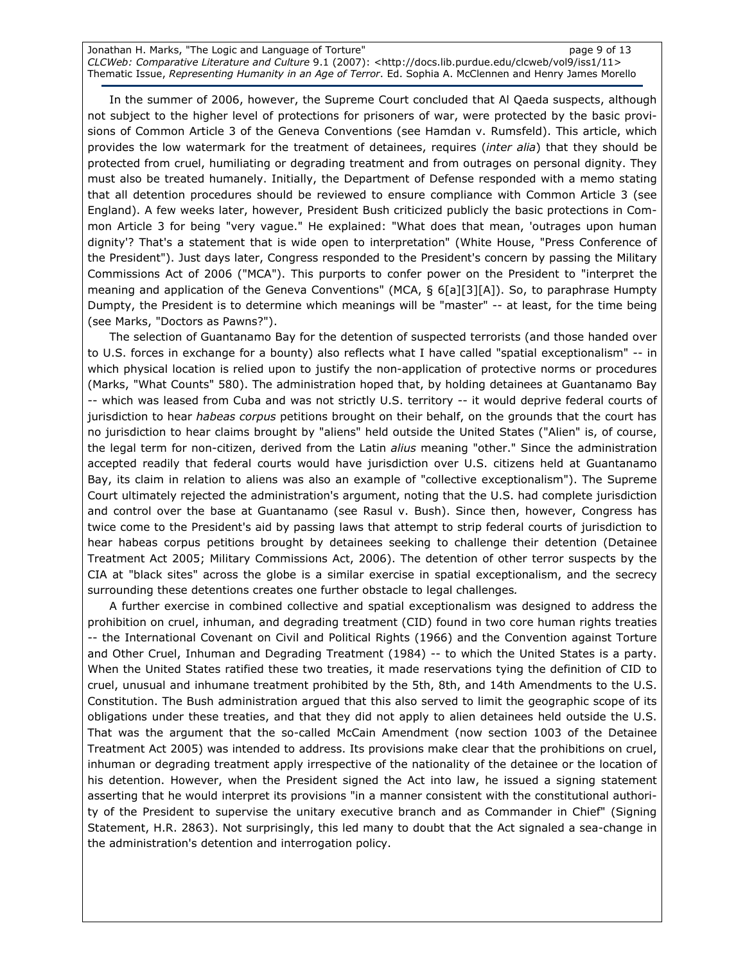Jonathan H. Marks, "The Logic and Language of Torture" example that the same page 9 of 13 CLCWeb: Comparative Literature and Culture 9.1 (2007): <http://docs.lib.purdue.edu/clcweb/vol9/iss1/11> Thematic Issue, Representing Humanity in an Age of Terror. Ed. Sophia A. McClennen and Henry James Morello

 In the summer of 2006, however, the Supreme Court concluded that Al Qaeda suspects, although not subject to the higher level of protections for prisoners of war, were protected by the basic provisions of Common Article 3 of the Geneva Conventions (see Hamdan v. Rumsfeld). This article, which provides the low watermark for the treatment of detainees, requires (inter alia) that they should be protected from cruel, humiliating or degrading treatment and from outrages on personal dignity. They must also be treated humanely. Initially, the Department of Defense responded with a memo stating that all detention procedures should be reviewed to ensure compliance with Common Article 3 (see England). A few weeks later, however, President Bush criticized publicly the basic protections in Common Article 3 for being "very vague." He explained: "What does that mean, 'outrages upon human dignity'? That's a statement that is wide open to interpretation" (White House, "Press Conference of the President"). Just days later, Congress responded to the President's concern by passing the Military Commissions Act of 2006 ("MCA"). This purports to confer power on the President to "interpret the meaning and application of the Geneva Conventions" (MCA, § 6[a][3][A]). So, to paraphrase Humpty Dumpty, the President is to determine which meanings will be "master" -- at least, for the time being (see Marks, "Doctors as Pawns?").

 The selection of Guantanamo Bay for the detention of suspected terrorists (and those handed over to U.S. forces in exchange for a bounty) also reflects what I have called "spatial exceptionalism" -- in which physical location is relied upon to justify the non-application of protective norms or procedures (Marks, "What Counts" 580). The administration hoped that, by holding detainees at Guantanamo Bay -- which was leased from Cuba and was not strictly U.S. territory -- it would deprive federal courts of jurisdiction to hear habeas corpus petitions brought on their behalf, on the grounds that the court has no jurisdiction to hear claims brought by "aliens" held outside the United States ("Alien" is, of course, the legal term for non-citizen, derived from the Latin alius meaning "other." Since the administration accepted readily that federal courts would have jurisdiction over U.S. citizens held at Guantanamo Bay, its claim in relation to aliens was also an example of "collective exceptionalism"). The Supreme Court ultimately rejected the administration's argument, noting that the U.S. had complete jurisdiction and control over the base at Guantanamo (see Rasul v. Bush). Since then, however, Congress has twice come to the President's aid by passing laws that attempt to strip federal courts of jurisdiction to hear habeas corpus petitions brought by detainees seeking to challenge their detention (Detainee Treatment Act 2005; Military Commissions Act, 2006). The detention of other terror suspects by the CIA at "black sites" across the globe is a similar exercise in spatial exceptionalism, and the secrecy surrounding these detentions creates one further obstacle to legal challenges.

 A further exercise in combined collective and spatial exceptionalism was designed to address the prohibition on cruel, inhuman, and degrading treatment (CID) found in two core human rights treaties -- the International Covenant on Civil and Political Rights (1966) and the Convention against Torture and Other Cruel, Inhuman and Degrading Treatment (1984) -- to which the United States is a party. When the United States ratified these two treaties, it made reservations tying the definition of CID to cruel, unusual and inhumane treatment prohibited by the 5th, 8th, and 14th Amendments to the U.S. Constitution. The Bush administration argued that this also served to limit the geographic scope of its obligations under these treaties, and that they did not apply to alien detainees held outside the U.S. That was the argument that the so-called McCain Amendment (now section 1003 of the Detainee Treatment Act 2005) was intended to address. Its provisions make clear that the prohibitions on cruel, inhuman or degrading treatment apply irrespective of the nationality of the detainee or the location of his detention. However, when the President signed the Act into law, he issued a signing statement asserting that he would interpret its provisions "in a manner consistent with the constitutional authority of the President to supervise the unitary executive branch and as Commander in Chief" (Signing Statement, H.R. 2863). Not surprisingly, this led many to doubt that the Act signaled a sea-change in the administration's detention and interrogation policy.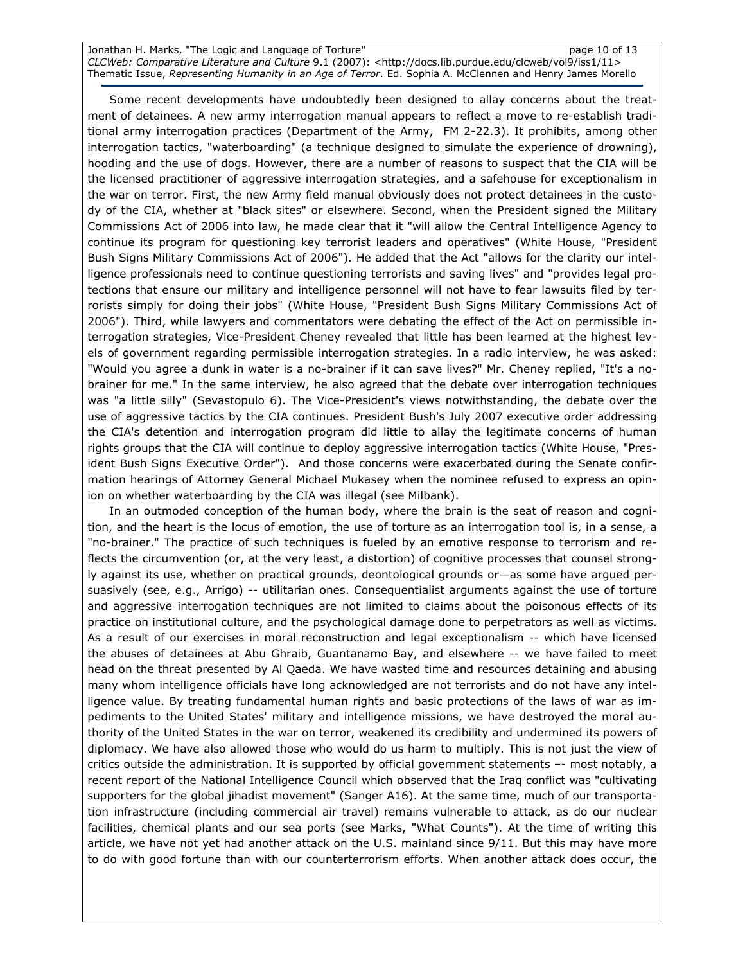Jonathan H. Marks, "The Logic and Language of Torture" example the state of 13 page 10 of 13 CLCWeb: Comparative Literature and Culture 9.1 (2007): <http://docs.lib.purdue.edu/clcweb/vol9/iss1/11> Thematic Issue, Representing Humanity in an Age of Terror. Ed. Sophia A. McClennen and Henry James Morello

 Some recent developments have undoubtedly been designed to allay concerns about the treatment of detainees. A new army interrogation manual appears to reflect a move to re-establish traditional army interrogation practices (Department of the Army, FM 2-22.3). It prohibits, among other interrogation tactics, "waterboarding" (a technique designed to simulate the experience of drowning), hooding and the use of dogs. However, there are a number of reasons to suspect that the CIA will be the licensed practitioner of aggressive interrogation strategies, and a safehouse for exceptionalism in the war on terror. First, the new Army field manual obviously does not protect detainees in the custody of the CIA, whether at "black sites" or elsewhere. Second, when the President signed the Military Commissions Act of 2006 into law, he made clear that it "will allow the Central Intelligence Agency to continue its program for questioning key terrorist leaders and operatives" (White House, "President Bush Signs Military Commissions Act of 2006"). He added that the Act "allows for the clarity our intelligence professionals need to continue questioning terrorists and saving lives" and "provides legal protections that ensure our military and intelligence personnel will not have to fear lawsuits filed by terrorists simply for doing their jobs" (White House, "President Bush Signs Military Commissions Act of 2006"). Third, while lawyers and commentators were debating the effect of the Act on permissible interrogation strategies, Vice-President Cheney revealed that little has been learned at the highest levels of government regarding permissible interrogation strategies. In a radio interview, he was asked: "Would you agree a dunk in water is a no-brainer if it can save lives?" Mr. Cheney replied, "It's a nobrainer for me." In the same interview, he also agreed that the debate over interrogation techniques was "a little silly" (Sevastopulo 6). The Vice-President's views notwithstanding, the debate over the use of aggressive tactics by the CIA continues. President Bush's July 2007 executive order addressing the CIA's detention and interrogation program did little to allay the legitimate concerns of human rights groups that the CIA will continue to deploy aggressive interrogation tactics (White House, "President Bush Signs Executive Order"). And those concerns were exacerbated during the Senate confirmation hearings of Attorney General Michael Mukasey when the nominee refused to express an opinion on whether waterboarding by the CIA was illegal (see Milbank).

 In an outmoded conception of the human body, where the brain is the seat of reason and cognition, and the heart is the locus of emotion, the use of torture as an interrogation tool is, in a sense, a "no-brainer." The practice of such techniques is fueled by an emotive response to terrorism and reflects the circumvention (or, at the very least, a distortion) of cognitive processes that counsel strongly against its use, whether on practical grounds, deontological grounds or—as some have argued persuasively (see, e.g., Arrigo) -- utilitarian ones. Consequentialist arguments against the use of torture and aggressive interrogation techniques are not limited to claims about the poisonous effects of its practice on institutional culture, and the psychological damage done to perpetrators as well as victims. As a result of our exercises in moral reconstruction and legal exceptionalism -- which have licensed the abuses of detainees at Abu Ghraib, Guantanamo Bay, and elsewhere -- we have failed to meet head on the threat presented by Al Qaeda. We have wasted time and resources detaining and abusing many whom intelligence officials have long acknowledged are not terrorists and do not have any intelligence value. By treating fundamental human rights and basic protections of the laws of war as impediments to the United States' military and intelligence missions, we have destroyed the moral authority of the United States in the war on terror, weakened its credibility and undermined its powers of diplomacy. We have also allowed those who would do us harm to multiply. This is not just the view of critics outside the administration. It is supported by official government statements –- most notably, a recent report of the National Intelligence Council which observed that the Iraq conflict was "cultivating supporters for the global jihadist movement" (Sanger A16). At the same time, much of our transportation infrastructure (including commercial air travel) remains vulnerable to attack, as do our nuclear facilities, chemical plants and our sea ports (see Marks, "What Counts"). At the time of writing this article, we have not yet had another attack on the U.S. mainland since 9/11. But this may have more to do with good fortune than with our counterterrorism efforts. When another attack does occur, the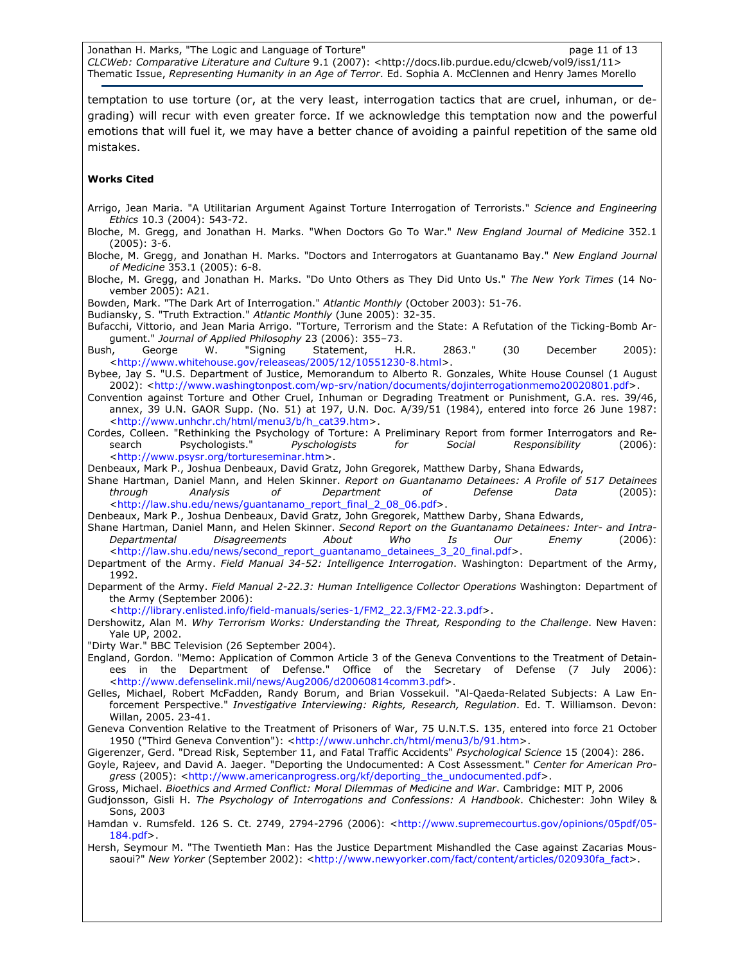temptation to use torture (or, at the very least, interrogation tactics that are cruel, inhuman, or degrading) will recur with even greater force. If we acknowledge this temptation now and the powerful emotions that will fuel it, we may have a better chance of avoiding a painful repetition of the same old mistakes.

#### Works Cited

- Arrigo, Jean Maria. "A Utilitarian Argument Against Torture Interrogation of Terrorists." Science and Engineering Ethics 10.3 (2004): 543-72.
- Bloche, M. Gregg, and Jonathan H. Marks. "When Doctors Go To War." New England Journal of Medicine 352.1 (2005): 3-6.
- Bloche, M. Gregg, and Jonathan H. Marks. "Doctors and Interrogators at Guantanamo Bay." New England Journal of Medicine 353.1 (2005): 6-8.
- Bloche, M. Gregg, and Jonathan H. Marks. "Do Unto Others as They Did Unto Us." The New York Times (14 November 2005): A21.
- Bowden, Mark. "The Dark Art of Interrogation." Atlantic Monthly (October 2003): 51-76.
- Budiansky, S. "Truth Extraction." Atlantic Monthly (June 2005): 32-35.
- Bufacchi, Vittorio, and Jean Maria Arrigo. "Torture, Terrorism and the State: A Refutation of the Ticking-Bomb Argument." Journal of Applied Philosophy 23 (2006): 355–73.
- Bush, George W. "Signing Statement, H.R. 2863." (30 December 2005): <http://www.whitehouse.gov/releaseas/2005/12/10551230-8.html>.
- Bybee, Jay S. "U.S. Department of Justice, Memorandum to Alberto R. Gonzales, White House Counsel (1 August 2002): <http://www.washingtonpost.com/wp-srv/nation/documents/dojinterrogationmemo20020801.pdf>.
- Convention against Torture and Other Cruel, Inhuman or Degrading Treatment or Punishment, G.A. res. 39/46, annex, 39 U.N. GAOR Supp. (No. 51) at 197, U.N. Doc. A/39/51 (1984), entered into force 26 June 1987: <http://www.unhchr.ch/html/menu3/b/h\_cat39.htm>.
- Cordes, Colleen. "Rethinking the Psychology of Torture: A Preliminary Report from former Interrogators and Re-<br>search Psychologists." Pyschologists for Social Responsibility (2006): Psychologists." Pyschologists for Social Responsibility <http://www.psysr.org/tortureseminar.htm>.
- Denbeaux, Mark P., Joshua Denbeaux, David Gratz, John Gregorek, Matthew Darby, Shana Edwards,
- Shane Hartman, Daniel Mann, and Helen Skinner. Report on Guantanamo Detainees: A Profile of 517 Detainees<br>through Analysis of Department of Defense Data (2005): through Analysis of Department of Defense Data (2005): <http://law.shu.edu/news/guantanamo\_report\_final\_2\_08\_06.pdf>.
- Denbeaux, Mark P., Joshua Denbeaux, David Gratz, John Gregorek, Matthew Darby, Shana Edwards,
- Shane Hartman, Daniel Mann, and Helen Skinner. Second Report on the Guantanamo Detainees: Inter- and Intra-Departmental Disagreements About Who Is Our Enemy (2006): <http://law.shu.edu/news/second\_report\_guantanamo\_detainees\_3\_20\_final.pdf>.
- Department of the Army. Field Manual 34-52: Intelligence Interrogation. Washington: Department of the Army, 1992.
- Deparment of the Army. Field Manual 2-22.3: Human Intelligence Collector Operations Washington: Department of the Army (September 2006):

<http://library.enlisted.info/field-manuals/series-1/FM2\_22.3/FM2-22.3.pdf>.

- Dershowitz, Alan M. Why Terrorism Works: Understanding the Threat, Responding to the Challenge. New Haven: Yale UP, 2002.
- "Dirty War." BBC Television (26 September 2004).
- England, Gordon. "Memo: Application of Common Article 3 of the Geneva Conventions to the Treatment of Detainees in the Department of Defense." Office of the Secretary of Defense (7 July 2006): <http://www.defenselink.mil/news/Aug2006/d20060814comm3.pdf>.
- Gelles, Michael, Robert McFadden, Randy Borum, and Brian Vossekuil. "Al-Qaeda-Related Subjects: A Law Enforcement Perspective." Investigative Interviewing: Rights, Research, Regulation. Ed. T. Williamson. Devon: Willan, 2005. 23-41.
- Geneva Convention Relative to the Treatment of Prisoners of War, 75 U.N.T.S. 135, entered into force 21 October 1950 ("Third Geneva Convention"): <http://www.unhchr.ch/html/menu3/b/91.htm>.
- Gigerenzer, Gerd. "Dread Risk, September 11, and Fatal Traffic Accidents" Psychological Science 15 (2004): 286.
- Goyle, Rajeev, and David A. Jaeger. "Deporting the Undocumented: A Cost Assessment." Center for American Progress (2005): <http://www.americanprogress.org/kf/deporting\_the\_undocumented.pdf>.
- Gross, Michael. Bioethics and Armed Conflict: Moral Dilemmas of Medicine and War. Cambridge: MIT P, 2006 Gudjonsson, Gisli H. The Psychology of Interrogations and Confessions: A Handbook. Chichester: John Wiley & Sons, 2003
- Hamdan v. Rumsfeld. 126 S. Ct. 2749, 2794-2796 (2006): <http://www.supremecourtus.gov/opinions/05pdf/05-184.pdf>.
- Hersh, Seymour M. "The Twentieth Man: Has the Justice Department Mishandled the Case against Zacarias Moussaoui?" New Yorker (September 2002): <http://www.newyorker.com/fact/content/articles/020930fa\_fact>.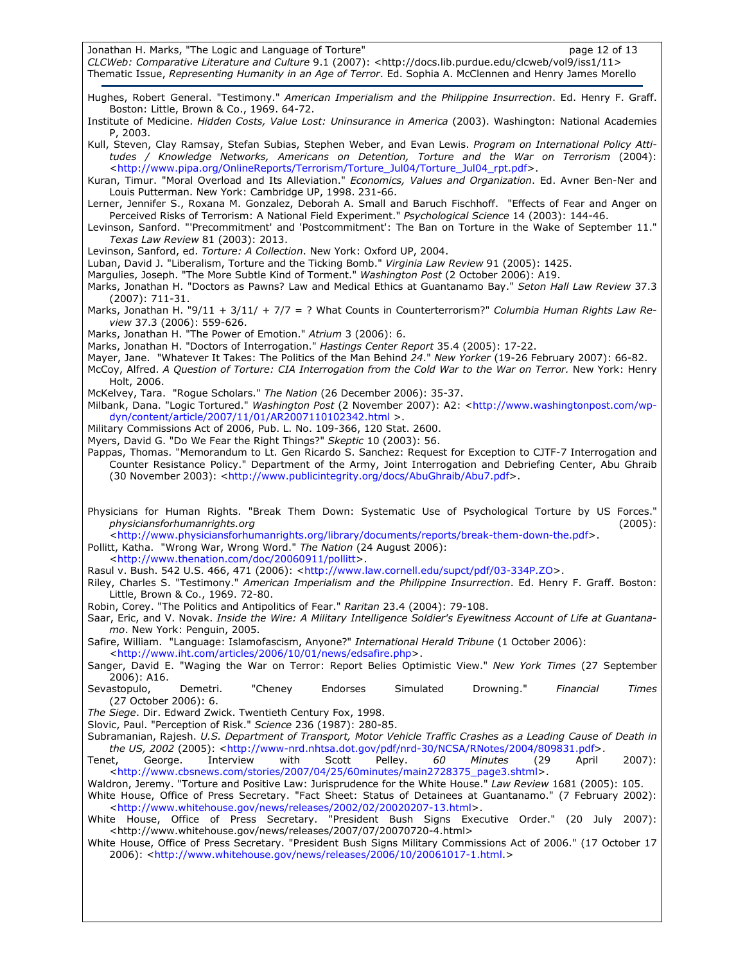Jonathan H. Marks, "The Logic and Language of Torture" example that the same page 12 of 13 CLCWeb: Comparative Literature and Culture 9.1 (2007): <http://docs.lib.purdue.edu/clcweb/vol9/iss1/11> Thematic Issue, Representing Humanity in an Age of Terror. Ed. Sophia A. McClennen and Henry James Morello Hughes, Robert General. "Testimony." American Imperialism and the Philippine Insurrection. Ed. Henry F. Graff. Boston: Little, Brown & Co., 1969. 64-72. Institute of Medicine. Hidden Costs, Value Lost: Uninsurance in America (2003). Washington: National Academies P, 2003. Kull, Steven, Clay Ramsay, Stefan Subias, Stephen Weber, and Evan Lewis. Program on International Policy Attitudes / Knowledge Networks, Americans on Detention, Torture and the War on Terrorism (2004): <http://www.pipa.org/OnlineReports/Terrorism/Torture\_Jul04/Torture\_Jul04\_rpt.pdf>. Kuran, Timur. "Moral Overload and Its Alleviation." Economics, Values and Organization. Ed. Avner Ben-Ner and Louis Putterman. New York: Cambridge UP, 1998. 231-66. Lerner, Jennifer S., Roxana M. Gonzalez, Deborah A. Small and Baruch Fischhoff. "Effects of Fear and Anger on Perceived Risks of Terrorism: A National Field Experiment." Psychological Science 14 (2003): 144-46. Levinson, Sanford. "'Precommitment' and 'Postcommitment': The Ban on Torture in the Wake of September 11." Texas Law Review 81 (2003): 2013. Levinson, Sanford, ed. Torture: A Collection. New York: Oxford UP, 2004. Luban, David J. "Liberalism, Torture and the Ticking Bomb." Virginia Law Review 91 (2005): 1425. Margulies, Joseph. "The More Subtle Kind of Torment." Washington Post (2 October 2006): A19. Marks, Jonathan H. "Doctors as Pawns? Law and Medical Ethics at Guantanamo Bay." Seton Hall Law Review 37.3 (2007): 711-31. Marks, Jonathan H. "9/11 + 3/11/ + 7/7 = ? What Counts in Counterterrorism?" Columbia Human Rights Law Review 37.3 (2006): 559-626. Marks, Jonathan H. "The Power of Emotion." Atrium 3 (2006): 6. Marks, Jonathan H. "Doctors of Interrogation." Hastings Center Report 35.4 (2005): 17-22. Mayer, Jane. "Whatever It Takes: The Politics of the Man Behind 24." New Yorker (19-26 February 2007): 66-82. McCoy, Alfred. A Question of Torture: CIA Interrogation from the Cold War to the War on Terror. New York: Henry Holt, 2006. McKelvey, Tara. "Rogue Scholars." The Nation (26 December 2006): 35-37. Milbank, Dana. "Logic Tortured." Washington Post (2 November 2007): A2: <http://www.washingtonpost.com/wpdyn/content/article/2007/11/01/AR2007110102342.html >. Military Commissions Act of 2006, Pub. L. No. 109-366, 120 Stat. 2600. Myers, David G. "Do We Fear the Right Things?" Skeptic 10 (2003): 56. Pappas, Thomas. "Memorandum to Lt. Gen Ricardo S. Sanchez: Request for Exception to CJTF-7 Interrogation and Counter Resistance Policy." Department of the Army, Joint Interrogation and Debriefing Center, Abu Ghraib (30 November 2003): <http://www.publicintegrity.org/docs/AbuGhraib/Abu7.pdf>. Physicians for Human Rights. "Break Them Down: Systematic Use of Psychological Torture by US Forces." physiciansforhumanrights.org (2005): <http://www.physiciansforhumanrights.org/library/documents/reports/break-them-down-the.pdf>. Pollitt, Katha. "Wrong War, Wrong Word." The Nation (24 August 2006): <http://www.thenation.com/doc/20060911/pollitt>. Rasul v. Bush. 542 U.S. 466, 471 (2006): <http://www.law.cornell.edu/supct/pdf/03-334P.ZO>. Riley, Charles S. "Testimony." American Imperialism and the Philippine Insurrection. Ed. Henry F. Graff. Boston: Little, Brown & Co., 1969. 72-80. Robin, Corey. "The Politics and Antipolitics of Fear." Raritan 23.4 (2004): 79-108. Saar, Eric, and V. Novak. Inside the Wire: A Military Intelligence Soldier's Eyewitness Account of Life at Guantanamo. New York: Penguin, 2005. Safire, William. "Language: Islamofascism, Anyone?" International Herald Tribune (1 October 2006): <http://www.iht.com/articles/2006/10/01/news/edsafire.php>. Sanger, David E. "Waging the War on Terror: Report Belies Optimistic View." New York Times (27 September 2006): A16. Sevastopulo, Demetri. "Cheney Endorses Simulated Drowning." Financial Times (27 October 2006): 6. The Siege. Dir. Edward Zwick. Twentieth Century Fox, 1998. Slovic, Paul. "Perception of Risk." Science 236 (1987): 280-85. Subramanian, Rajesh. U.S. Department of Transport, Motor Vehicle Traffic Crashes as a Leading Cause of Death in the US, 2002 (2005): <http://www-nrd.nhtsa.dot.gov/pdf/nrd-30/NCSA/RNotes/2004/809831.pdf>. Tenet, George. Interview with Scott Pelley. 60 *Minutes* (29 April 2007): <http://www.cbsnews.com/stories/2007/04/25/60minutes/main2728375\_page3.shtml>. Waldron, Jeremy. "Torture and Positive Law: Jurisprudence for the White House." Law Review 1681 (2005): 105. White House, Office of Press Secretary. "Fact Sheet: Status of Detainees at Guantanamo." (7 February 2002): <http://www.whitehouse.gov/news/releases/2002/02/20020207-13.html>. White House, Office of Press Secretary. "President Bush Signs Executive Order." (20 July 2007): <http://www.whitehouse.gov/news/releases/2007/07/20070720-4.html> White House, Office of Press Secretary. "President Bush Signs Military Commissions Act of 2006." (17 October 17 2006): <http://www.whitehouse.gov/news/releases/2006/10/20061017-1.html.>